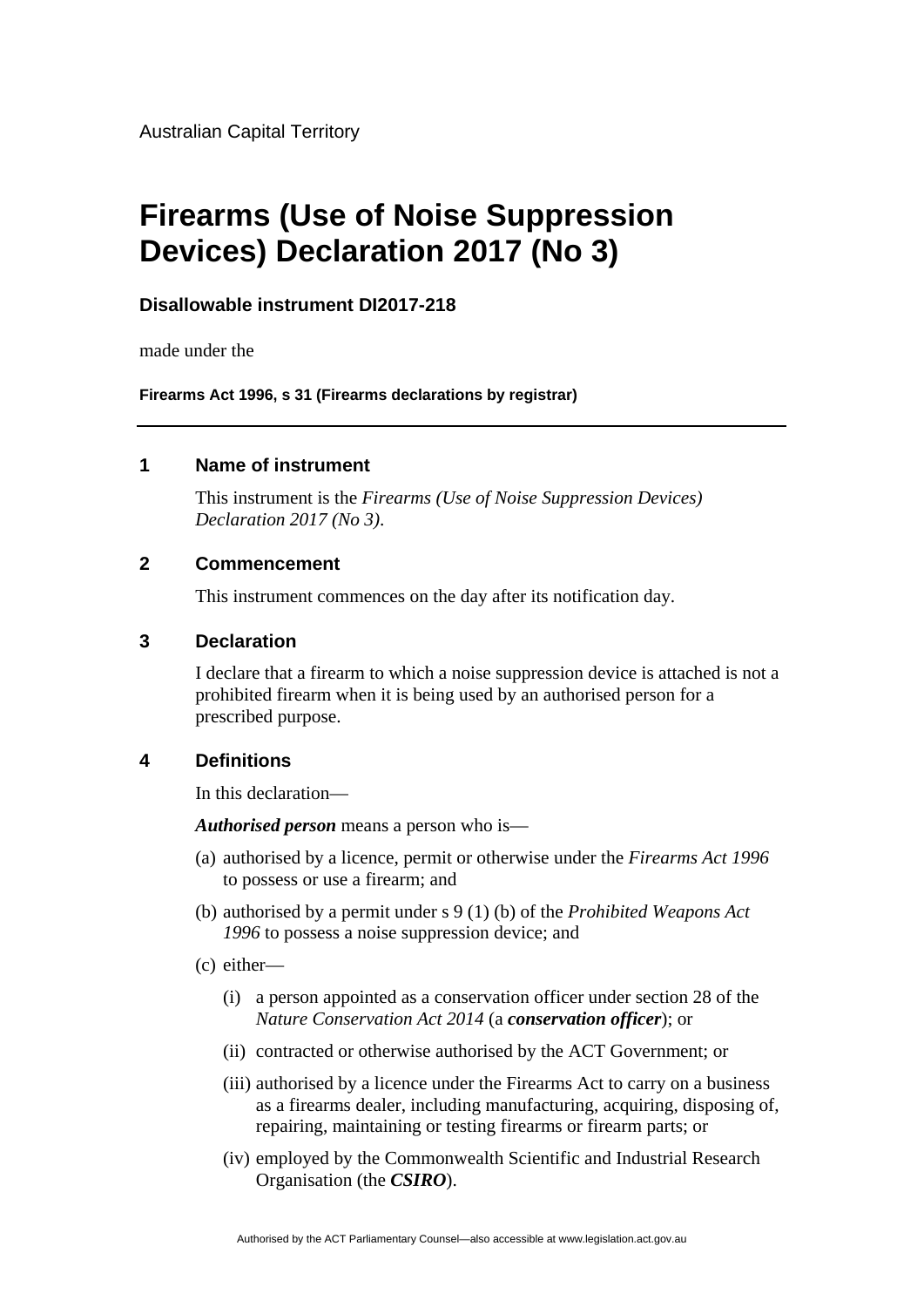Australian Capital Territory

# **Firearms (Use of Noise Suppression Devices) Declaration 2017 (No 3)**

## **Disallowable instrument DI2017-218**

made under the

**Firearms Act 1996, s 31 (Firearms declarations by registrar)**

#### **1 Name of instrument**

This instrument is the *Firearms (Use of Noise Suppression Devices) Declaration 2017 (No 3)*.

#### **2 Commencement**

This instrument commences on the day after its notification day.

#### **3 Declaration**

I declare that a firearm to which a noise suppression device is attached is not a prohibited firearm when it is being used by an authorised person for a prescribed purpose.

### **4 Definitions**

In this declaration—

*Authorised person* means a person who is—

- (a) authorised by a licence, permit or otherwise under the *Firearms Act 1996* to possess or use a firearm; and
- (b) authorised by a permit under s 9 (1) (b) of the *Prohibited Weapons Act 1996* to possess a noise suppression device; and
- (c) either—
	- (i) a person appointed as a conservation officer under section 28 of the *Nature Conservation Act 2014* (a *conservation officer*); or
	- (ii) contracted or otherwise authorised by the ACT Government; or
	- (iii) authorised by a licence under the Firearms Act to carry on a business as a firearms dealer, including manufacturing, acquiring, disposing of, repairing, maintaining or testing firearms or firearm parts; or
	- (iv) employed by the Commonwealth Scientific and Industrial Research Organisation (the *CSIRO*).